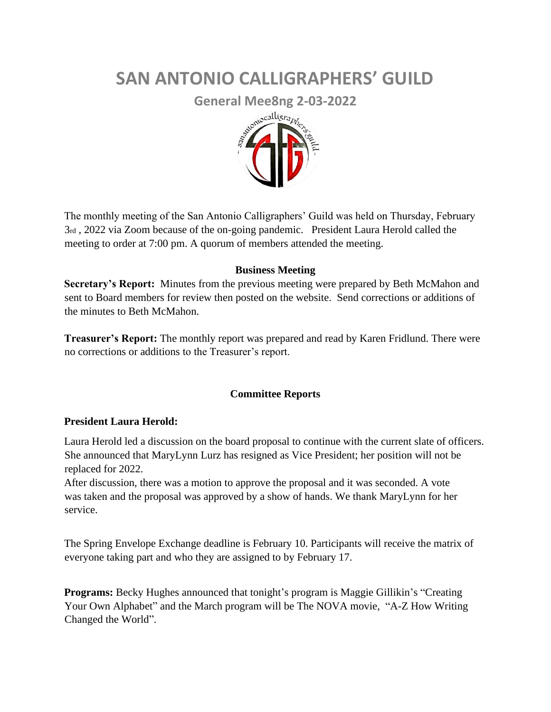# **SAN ANTONIO CALLIGRAPHERS' GUILD**



The monthly meeting of the San Antonio Calligraphers' Guild was held on Thursday, February 3rd , 2022 via Zoom because of the on-going pandemic. President Laura Herold called the meeting to order at 7:00 pm. A quorum of members attended the meeting.

#### **Business Meeting**

**Secretary's Report:** Minutes from the previous meeting were prepared by Beth McMahon and sent to Board members for review then posted on the website. Send corrections or additions of the minutes to Beth McMahon.

**Treasurer's Report:** The monthly report was prepared and read by Karen Fridlund. There were no corrections or additions to the Treasurer's report.

#### **Committee Reports**

#### **President Laura Herold:**

Laura Herold led a discussion on the board proposal to continue with the current slate of officers. She announced that MaryLynn Lurz has resigned as Vice President; her position will not be replaced for 2022.

After discussion, there was a motion to approve the proposal and it was seconded. A vote was taken and the proposal was approved by a show of hands. We thank MaryLynn for her service.

The Spring Envelope Exchange deadline is February 10. Participants will receive the matrix of everyone taking part and who they are assigned to by February 17.

**Programs:** Becky Hughes announced that tonight's program is Maggie Gillikin's "Creating Your Own Alphabet" and the March program will be The NOVA movie, "A-Z How Writing Changed the World".